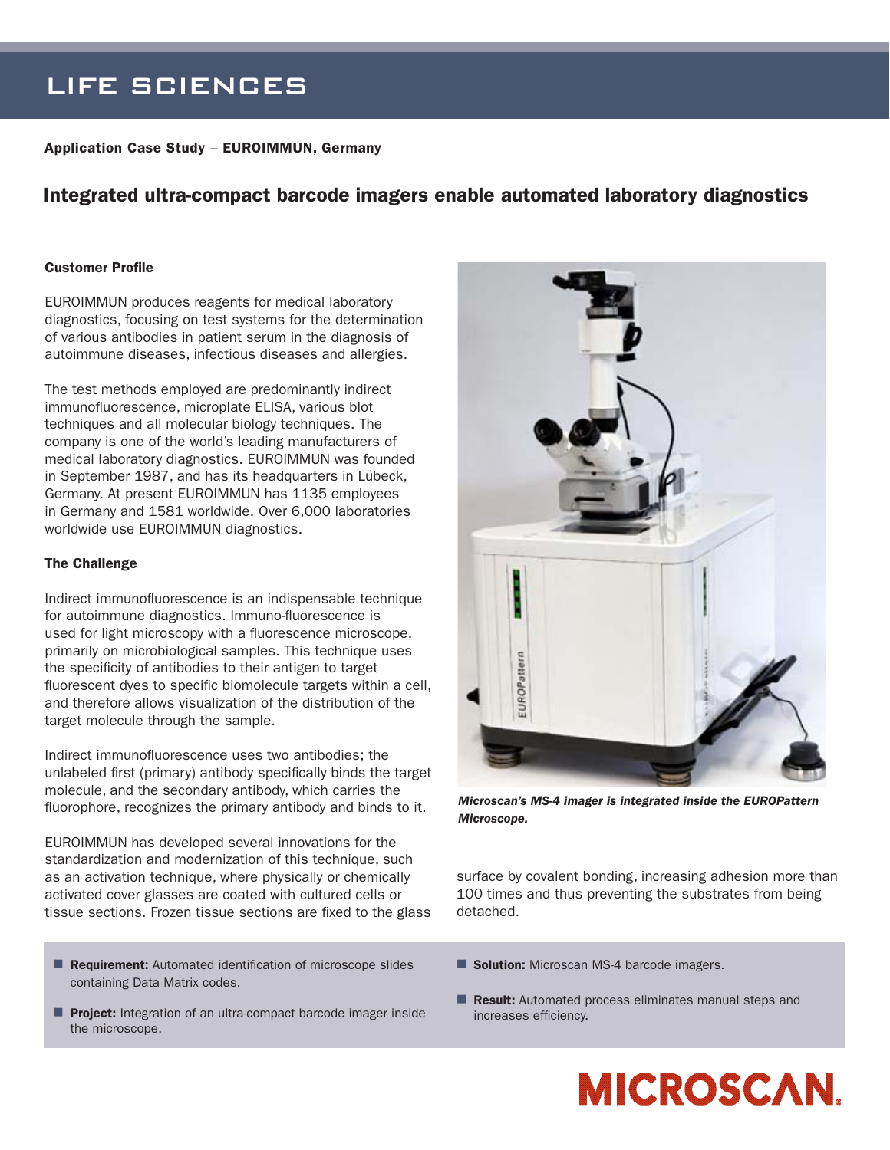# LIFE SCIENCES

Application Case Study – EUROIMMUN, Germany

# Integrated ultra-compact barcode imagers enable automated laboratory diagnostics

### Customer Profile

EUROIMMUN produces reagents for medical laboratory diagnostics, focusing on test systems for the determination of various antibodies in patient serum in the diagnosis of autoimmune diseases, infectious diseases and allergies.

The test methods employed are predominantly indirect immunofluorescence, microplate ELISA, various blot techniques and all molecular biology techniques. The company is one of the world's leading manufacturers of medical laboratory diagnostics. EUROIMMUN was founded in September 1987, and has its headquarters in Lübeck, Germany. At present EUROIMMUN has 1135 employees in Germany and 1581 worldwide. Over 6,000 laboratories worldwide use EUROIMMUN diagnostics.

#### The Challenge

Indirect immunofluorescence is an indispensable technique for autoimmune diagnostics. Immuno-fluorescence is used for light microscopy with a fluorescence microscope, primarily on microbiological samples. This technique uses the specificity of antibodies to their antigen to target fluorescent dyes to specific biomolecule targets within a cell, and therefore allows visualization of the distribution of the target molecule through the sample.

Indirect immunofluorescence uses two antibodies; the unlabeled first (primary) antibody specifically binds the target molecule, and the secondary antibody, which carries the fluorophore, recognizes the primary antibody and binds to it.

EUROIMMUN has developed several innovations for the standardization and modernization of this technique, such as an activation technique, where physically or chemically activated cover glasses are coated with cultured cells or tissue sections. Frozen tissue sections are fixed to the glass

- Requirement: Automated identification of microscope slides containing Data Matrix codes.
- **Project:** Integration of an ultra-compact barcode imager inside the microscope.



*Microscan's MS-4 imager is integrated inside the EUROPattern Microscope.*

surface by covalent bonding, increasing adhesion more than 100 times and thus preventing the substrates from being detached.

- Solution: Microscan MS-4 barcode imagers.
- **Result:** Automated process eliminates manual steps and increases efficiency.

**MICROSCAN.**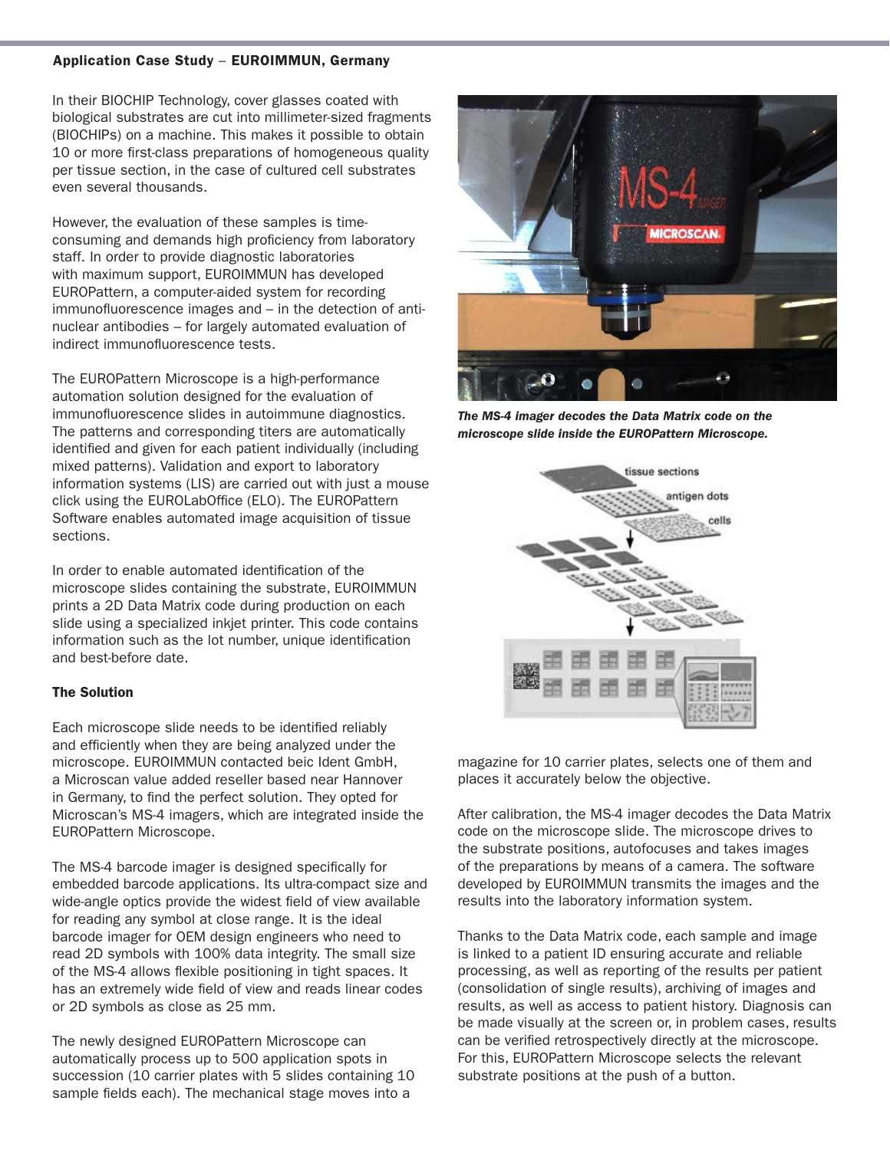# Application Case Study – EUROIMMUN, Germany

In their BIOCHIP Technology, cover glasses coated with biological substrates are cut into millimeter-sized fragments (BIOCHIPs) on a machine. This makes it possible to obtain 10 or more first-class preparations of homogeneous quality per tissue section, in the case of cultured cell substrates even several thousands.

However, the evaluation of these samples is timeconsuming and demands high proficiency from laboratory staff. In order to provide diagnostic laboratories with maximum support, EUROIMMUN has developed EUROPattern, a computer-aided system for recording immunofluorescence images and – in the detection of antinuclear antibodies – for largely automated evaluation of indirect immunofluorescence tests.

The EUROPattern Microscope is a high-performance automation solution designed for the evaluation of immunofluorescence slides in autoimmune diagnostics. The patterns and corresponding titers are automatically identified and given for each patient individually (including mixed patterns). Validation and export to laboratory information systems (LIS) are carried out with just a mouse click using the EUROLabOffice (ELO). The EUROPattern Software enables automated image acquisition of tissue sections.

In order to enable automated identification of the microscope slides containing the substrate, EUROIMMUN prints a 2D Data Matrix code during production on each slide using a specialized inkjet printer. This code contains information such as the lot number, unique identification and best-before date.

# The Solution

Each microscope slide needs to be identified reliably and efficiently when they are being analyzed under the microscope. EUROIMMUN contacted beic Ident GmbH, a Microscan value added reseller based near Hannover in Germany, to find the perfect solution. They opted for Microscan's MS-4 imagers, which are integrated inside the EUROPattern Microscope.

The MS-4 barcode imager is designed specifically for embedded barcode applications. Its ultra-compact size and wide-angle optics provide the widest field of view available for reading any symbol at close range. It is the ideal barcode imager for OEM design engineers who need to read 2D symbols with 100% data integrity. The small size of the MS-4 allows flexible positioning in tight spaces. It has an extremely wide field of view and reads linear codes or 2D symbols as close as 25 mm.

The newly designed EUROPattern Microscope can automatically process up to 500 application spots in succession (10 carrier plates with 5 slides containing 10 sample fields each). The mechanical stage moves into a



*The MS-4 imager decodes the Data Matrix code on the microscope slide inside the EUROPattern Microscope.*



magazine for 10 carrier plates, selects one of them and places it accurately below the objective.

After calibration, the MS-4 imager decodes the Data Matrix code on the microscope slide. The microscope drives to the substrate positions, autofocuses and takes images of the preparations by means of a camera. The software developed by EUROIMMUN transmits the images and the results into the laboratory information system.

Thanks to the Data Matrix code, each sample and image is linked to a patient ID ensuring accurate and reliable processing, as well as reporting of the results per patient (consolidation of single results), archiving of images and results, as well as access to patient history. Diagnosis can be made visually at the screen or, in problem cases, results can be verified retrospectively directly at the microscope. For this, EUROPattern Microscope selects the relevant substrate positions at the push of a button.